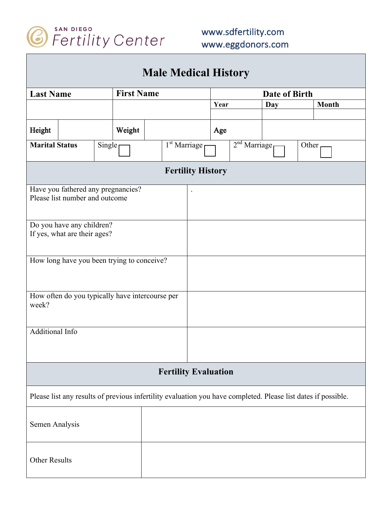

| <b>Male Medical History</b>     |                                                                                                               |  |                                     |  |                             |                             |               |  |     |  |              |  |
|---------------------------------|---------------------------------------------------------------------------------------------------------------|--|-------------------------------------|--|-----------------------------|-----------------------------|---------------|--|-----|--|--------------|--|
| <b>Last Name</b>                |                                                                                                               |  | <b>First Name</b>                   |  |                             |                             | Date of Birth |  |     |  |              |  |
|                                 |                                                                                                               |  |                                     |  |                             |                             | Year          |  | Day |  | <b>Month</b> |  |
|                                 |                                                                                                               |  |                                     |  |                             |                             |               |  |     |  |              |  |
| Height                          |                                                                                                               |  | Weight                              |  |                             | Age                         |               |  |     |  |              |  |
| <b>Marital Status</b><br>Single |                                                                                                               |  | $\overline{1}^{\text{st}}$ Marriage |  |                             | $2nd$ Marriage <sub>1</sub> | Other         |  |     |  |              |  |
|                                 |                                                                                                               |  |                                     |  | <b>Fertility History</b>    |                             |               |  |     |  |              |  |
|                                 | Have you fathered any pregnancies?<br>Please list number and outcome                                          |  |                                     |  |                             |                             |               |  |     |  |              |  |
|                                 |                                                                                                               |  |                                     |  |                             |                             |               |  |     |  |              |  |
|                                 | Do you have any children?<br>If yes, what are their ages?                                                     |  |                                     |  |                             |                             |               |  |     |  |              |  |
|                                 | How long have you been trying to conceive?                                                                    |  |                                     |  |                             |                             |               |  |     |  |              |  |
| week?                           | How often do you typically have intercourse per                                                               |  |                                     |  |                             |                             |               |  |     |  |              |  |
| Additional Info                 |                                                                                                               |  |                                     |  |                             |                             |               |  |     |  |              |  |
|                                 |                                                                                                               |  |                                     |  | <b>Fertility Evaluation</b> |                             |               |  |     |  |              |  |
|                                 | Please list any results of previous infertility evaluation you have completed. Please list dates if possible. |  |                                     |  |                             |                             |               |  |     |  |              |  |
| Semen Analysis                  |                                                                                                               |  |                                     |  |                             |                             |               |  |     |  |              |  |
| <b>Other Results</b>            |                                                                                                               |  |                                     |  |                             |                             |               |  |     |  |              |  |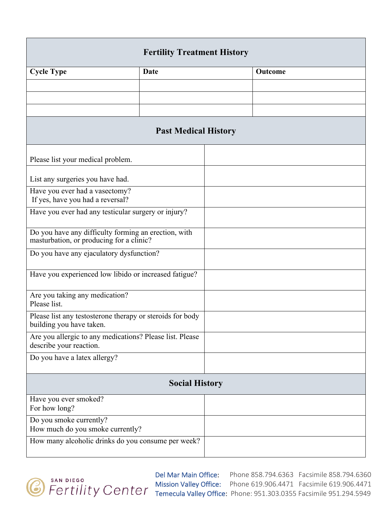| <b>Fertility Treatment History</b>                                                               |             |  |         |  |  |  |
|--------------------------------------------------------------------------------------------------|-------------|--|---------|--|--|--|
| <b>Cycle Type</b>                                                                                | <b>Date</b> |  | Outcome |  |  |  |
|                                                                                                  |             |  |         |  |  |  |
|                                                                                                  |             |  |         |  |  |  |
|                                                                                                  |             |  |         |  |  |  |
| <b>Past Medical History</b>                                                                      |             |  |         |  |  |  |
| Please list your medical problem.                                                                |             |  |         |  |  |  |
| List any surgeries you have had.                                                                 |             |  |         |  |  |  |
| Have you ever had a vasectomy?<br>If yes, have you had a reversal?                               |             |  |         |  |  |  |
| Have you ever had any testicular surgery or injury?                                              |             |  |         |  |  |  |
| Do you have any difficulty forming an erection, with<br>masturbation, or producing for a clinic? |             |  |         |  |  |  |
| Do you have any ejaculatory dysfunction?                                                         |             |  |         |  |  |  |
| Have you experienced low libido or increased fatigue?                                            |             |  |         |  |  |  |
| Are you taking any medication?<br>Please list.                                                   |             |  |         |  |  |  |
| Please list any testosterone therapy or steroids for body<br>building you have taken.            |             |  |         |  |  |  |
| Are you allergic to any medications? Please list. Please<br>describe your reaction.              |             |  |         |  |  |  |
| Do you have a latex allergy?                                                                     |             |  |         |  |  |  |
| <b>Social History</b>                                                                            |             |  |         |  |  |  |
| Have you ever smoked?<br>For how long?                                                           |             |  |         |  |  |  |
| Do you smoke currently?<br>How much do you smoke currently?                                      |             |  |         |  |  |  |
| How many alcoholic drinks do you consume per week?                                               |             |  |         |  |  |  |



Del Mar Main Office: Phone 858.794.6363 Facsimile 858.794.6360 Mission Valley Office: Phone 619.906.4471 Facsimile 619.906.4471 Temecula Valley Office: Phone: 951.303.0355 Facsimile 951.294.5949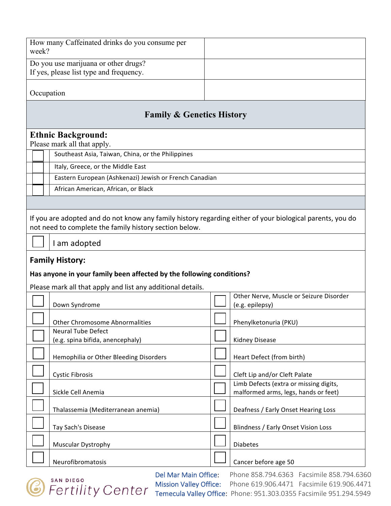|                                                                                                                                                               | How many Caffeinated drinks do you consume per<br>week?                                                                                                                             |  |                                                                                |  |  |  |  |
|---------------------------------------------------------------------------------------------------------------------------------------------------------------|-------------------------------------------------------------------------------------------------------------------------------------------------------------------------------------|--|--------------------------------------------------------------------------------|--|--|--|--|
|                                                                                                                                                               | Do you use marijuana or other drugs?<br>If yes, please list type and frequency.                                                                                                     |  |                                                                                |  |  |  |  |
|                                                                                                                                                               | Occupation                                                                                                                                                                          |  |                                                                                |  |  |  |  |
| <b>Family &amp; Genetics History</b>                                                                                                                          |                                                                                                                                                                                     |  |                                                                                |  |  |  |  |
|                                                                                                                                                               | <b>Ethnic Background:</b><br>Please mark all that apply.                                                                                                                            |  |                                                                                |  |  |  |  |
|                                                                                                                                                               | Southeast Asia, Taiwan, China, or the Philippines                                                                                                                                   |  |                                                                                |  |  |  |  |
|                                                                                                                                                               | Italy, Greece, or the Middle East                                                                                                                                                   |  |                                                                                |  |  |  |  |
|                                                                                                                                                               | Eastern European (Ashkenazi) Jewish or French Canadian                                                                                                                              |  |                                                                                |  |  |  |  |
|                                                                                                                                                               | African American, African, or Black                                                                                                                                                 |  |                                                                                |  |  |  |  |
|                                                                                                                                                               |                                                                                                                                                                                     |  |                                                                                |  |  |  |  |
|                                                                                                                                                               | If you are adopted and do not know any family history regarding either of your biological parents, you do<br>not need to complete the family history section below.<br>I am adopted |  |                                                                                |  |  |  |  |
| <b>Family History:</b><br>Has anyone in your family been affected by the following conditions?<br>Please mark all that apply and list any additional details. |                                                                                                                                                                                     |  |                                                                                |  |  |  |  |
|                                                                                                                                                               | Down Syndrome                                                                                                                                                                       |  | Other Nerve, Muscle or Seizure Disorder<br>(e.g. epilepsy)                     |  |  |  |  |
|                                                                                                                                                               | <b>Other Chromosome Abnormalities</b>                                                                                                                                               |  | Phenylketonuria (PKU)                                                          |  |  |  |  |
|                                                                                                                                                               | <b>Neural Tube Defect</b><br>(e.g. spina bifida, anencephaly)                                                                                                                       |  | <b>Kidney Disease</b>                                                          |  |  |  |  |
|                                                                                                                                                               | Hemophilia or Other Bleeding Disorders                                                                                                                                              |  | Heart Defect (from birth)                                                      |  |  |  |  |
|                                                                                                                                                               | <b>Cystic Fibrosis</b>                                                                                                                                                              |  | Cleft Lip and/or Cleft Palate                                                  |  |  |  |  |
|                                                                                                                                                               | Sickle Cell Anemia                                                                                                                                                                  |  | Limb Defects (extra or missing digits,<br>malformed arms, legs, hands or feet) |  |  |  |  |
|                                                                                                                                                               | Thalassemia (Mediterranean anemia)                                                                                                                                                  |  | Deafness / Early Onset Hearing Loss                                            |  |  |  |  |
|                                                                                                                                                               | Tay Sach's Disease                                                                                                                                                                  |  | Blindness / Early Onset Vision Loss                                            |  |  |  |  |
|                                                                                                                                                               | Muscular Dystrophy                                                                                                                                                                  |  | <b>Diabetes</b>                                                                |  |  |  |  |
|                                                                                                                                                               | Neurofibromatosis                                                                                                                                                                   |  | Cancer before age 50                                                           |  |  |  |  |



Del Mar Main Office: Phone 858.794.6363 Facsimile 858.794.6360 Mission Valley Office: Phone 619.906.4471 Facsimile 619.906.4471 Temecula Valley Office: Phone: 951.303.0355 Facsimile 951.294.5949